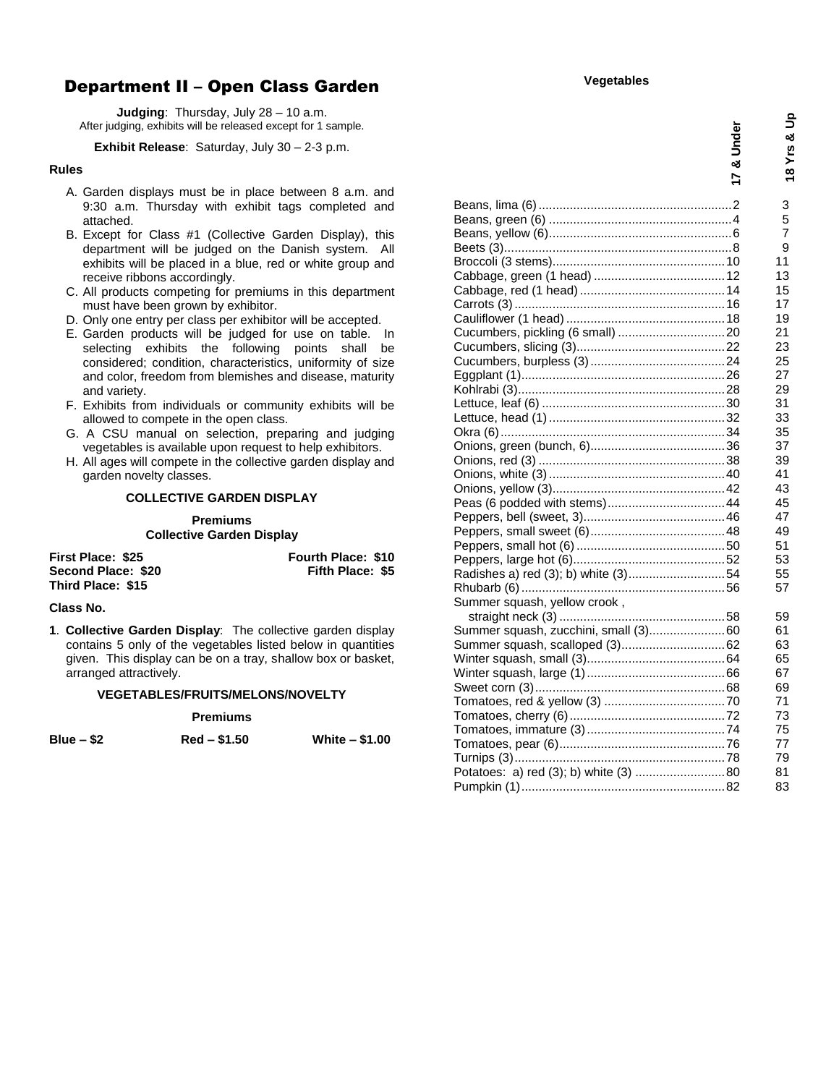# Department II – Open Class Garden

**Judging**: Thursday, July 28 – 10 a.m. After judging, exhibits will be released except for 1 sample.

### **Exhibit Release**: Saturday, July 30 – 2-3 p.m.

#### **Rules**

- A. Garden displays must be in place between 8 a.m. and 9:30 a.m. Thursday with exhibit tags completed and attached.
- B. Except for Class #1 (Collective Garden Display), this department will be judged on the Danish system. All exhibits will be placed in a blue, red or white group and receive ribbons accordingly.
- C. All products competing for premiums in this department must have been grown by exhibitor.
- D. Only one entry per class per exhibitor will be accepted.
- E. Garden products will be judged for use on table. In selecting exhibits the following points shall be considered; condition, characteristics, uniformity of size and color, freedom from blemishes and disease, maturity and variety.
- F. Exhibits from individuals or community exhibits will be allowed to compete in the open class.
- G. A CSU manual on selection, preparing and judging vegetables is available upon request to help exhibitors.
- H. All ages will compete in the collective garden display and garden novelty classes.

## **COLLECTIVE GARDEN DISPLAY**

**Premiums Collective Garden Display**

| First Place: \$25  | <b>Fourth Place: \$10</b> |
|--------------------|---------------------------|
| Second Place: \$20 | Fifth Place: \$5          |
| Third Place: \$15  |                           |

## **Class No.**

**1**. **Collective Garden Display**: The collective garden display contains 5 only of the vegetables listed below in quantities given. This display can be on a tray, shallow box or basket, arranged attractively.

#### **VEGETABLES/FRUITS/MELONS/NOVELTY**

#### **Premiums**

| 31 U<br>۱e |  |  |
|------------|--|--|
|------------|--|--|

**Blue – \$2 Red – \$1.50 White – \$1.00**

|                                       | Jndel<br>ಷ<br>$\overline{=}$ | 18 Yrs & Up |
|---------------------------------------|------------------------------|-------------|
|                                       |                              | 3           |
|                                       |                              | 5           |
|                                       |                              | 7           |
|                                       |                              | 9           |
|                                       |                              | 11          |
|                                       |                              | 13          |
|                                       |                              | 15          |
|                                       |                              | 17          |
|                                       |                              | 19          |
|                                       |                              | 21          |
|                                       |                              | 23<br>25    |
|                                       |                              | 27          |
|                                       |                              | 29          |
|                                       |                              | 31          |
|                                       |                              | 33          |
|                                       |                              | 35          |
|                                       |                              | 37          |
|                                       |                              | 39          |
|                                       |                              | 41          |
|                                       |                              | 43          |
|                                       |                              | 45          |
|                                       |                              | 47          |
|                                       |                              | 49          |
|                                       |                              | 51          |
|                                       |                              | 53          |
| Radishes a) red (3); b) white (3)54   |                              | 55          |
|                                       |                              | 57          |
| Summer squash, yellow crook,          |                              |             |
|                                       |                              | 59          |
| Summer squash, zucchini, small (3)60  |                              | 61          |
|                                       |                              | 63          |
|                                       |                              | 65          |
|                                       |                              | 67          |
|                                       |                              | 69          |
|                                       |                              | 71          |
|                                       |                              | 73          |
|                                       |                              | 75          |
|                                       |                              | 77          |
|                                       |                              | 79          |
| Potatoes: a) red (3); b) white (3) 80 |                              | 81          |
|                                       |                              | 83          |